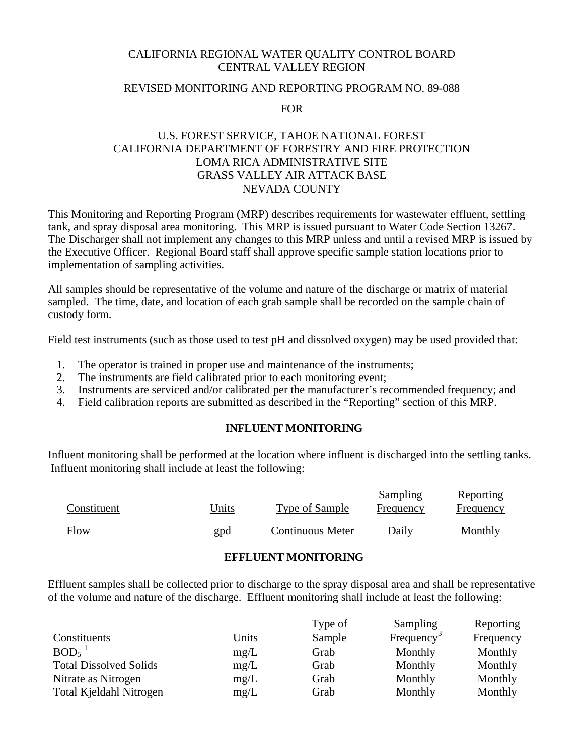## CALIFORNIA REGIONAL WATER QUALITY CONTROL BOARD CENTRAL VALLEY REGION

# REVISED MONITORING AND REPORTING PROGRAM NO. 89-088

#### FOR

# U.S. FOREST SERVICE, TAHOE NATIONAL FOREST CALIFORNIA DEPARTMENT OF FORESTRY AND FIRE PROTECTION LOMA RICA ADMINISTRATIVE SITE GRASS VALLEY AIR ATTACK BASE NEVADA COUNTY

This Monitoring and Reporting Program (MRP) describes requirements for wastewater effluent, settling tank, and spray disposal area monitoring. This MRP is issued pursuant to Water Code Section 13267. The Discharger shall not implement any changes to this MRP unless and until a revised MRP is issued by the Executive Officer. Regional Board staff shall approve specific sample station locations prior to implementation of sampling activities.

All samples should be representative of the volume and nature of the discharge or matrix of material sampled. The time, date, and location of each grab sample shall be recorded on the sample chain of custody form.

Field test instruments (such as those used to test pH and dissolved oxygen) may be used provided that:

- 1. The operator is trained in proper use and maintenance of the instruments;
- 2. The instruments are field calibrated prior to each monitoring event;
- 3. Instruments are serviced and/or calibrated per the manufacturer's recommended frequency; and
- 4. Field calibration reports are submitted as described in the "Reporting" section of this MRP.

# **INFLUENT MONITORING**

Influent monitoring shall be performed at the location where influent is discharged into the settling tanks. Influent monitoring shall include at least the following:

| Constituent | <u>Units</u> | Type of Sample          | Sampling<br>Frequency | <b>Reporting</b><br>Frequency |
|-------------|--------------|-------------------------|-----------------------|-------------------------------|
| Flow        | gpd          | <b>Continuous Meter</b> | Daily                 | Monthly                       |

#### **EFFLUENT MONITORING**

Effluent samples shall be collected prior to discharge to the spray disposal area and shall be representative of the volume and nature of the discharge. Effluent monitoring shall include at least the following:

|                               |              | Type of       | Sampling         | Reporting |
|-------------------------------|--------------|---------------|------------------|-----------|
| Constituents                  | <u>Units</u> | <b>Sample</b> | <b>Frequency</b> | Frequency |
| BOD <sub>5</sub>              | mg/L         | Grab          | Monthly          | Monthly   |
| <b>Total Dissolved Solids</b> | mg/L         | Grab          | Monthly          | Monthly   |
| Nitrate as Nitrogen           | mg/L         | Grab          | Monthly          | Monthly   |
| Total Kjeldahl Nitrogen       | mg/L         | Grab          | Monthly          | Monthly   |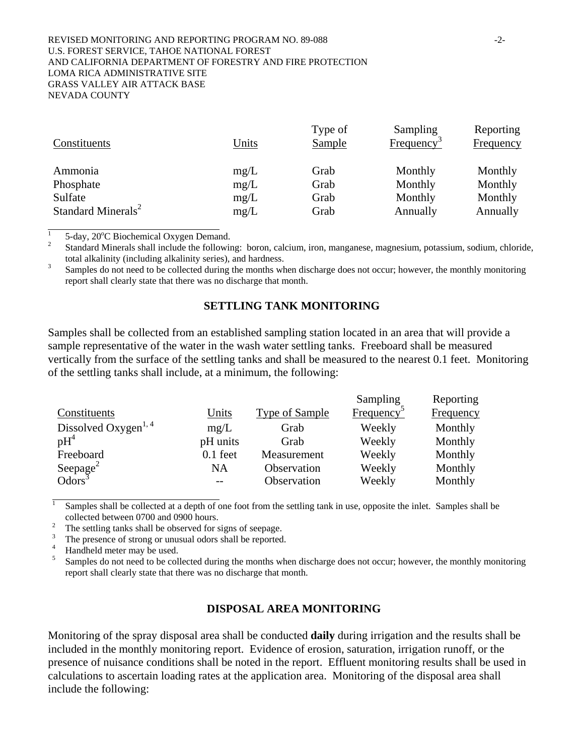#### REVISED MONITORING AND REPORTING PROGRAM NO. 89-088  $-2$ -U.S. FOREST SERVICE, TAHOE NATIONAL FOREST AND CALIFORNIA DEPARTMENT OF FORESTRY AND FIRE PROTECTION LOMA RICA ADMINISTRATIVE SITE GRASS VALLEY AIR ATTACK BASE NEVADA COUNTY

| Constituents                   | Units | Type of<br>Sample | Sampling<br>Frequency <sup>2</sup> | Reporting<br><b>Frequency</b> |
|--------------------------------|-------|-------------------|------------------------------------|-------------------------------|
| Ammonia                        | mg/L  | Grab              | Monthly                            | Monthly                       |
| Phosphate                      | mg/L  | Grab              | Monthly                            | Monthly                       |
| Sulfate                        | mg/L  | Grab              | Monthly                            | Monthly                       |
| Standard Minerals <sup>2</sup> | mg/L  | Grab              | Annually                           | Annually                      |

1 <sup>1</sup> 5-day, 20 $^{\circ}$ C Biochemical Oxygen Demand.<br><sup>2</sup> Standard Minarels shall include the following

 $\overline{a}$ 

<sup>2</sup> Standard Minerals shall include the following: boron, calcium, iron, manganese, magnesium, potassium, sodium, chloride, total alkalinity (including alkalinity series), and hardness.

 Samples do not need to be collected during the months when discharge does not occur; however, the monthly monitoring report shall clearly state that there was no discharge that month.

### **SETTLING TANK MONITORING**

Samples shall be collected from an established sampling station located in an area that will provide a sample representative of the water in the wash water settling tanks. Freeboard shall be measured vertically from the surface of the settling tanks and shall be measured to the nearest 0.1 feet. Monitoring of the settling tanks shall include, at a minimum, the following:

|                                            |            |                | Sampling               | Reporting |
|--------------------------------------------|------------|----------------|------------------------|-----------|
| Constituents                               | Units      | Type of Sample | Frequency <sup>:</sup> | Frequency |
| Dissolved Oxygen <sup>1, 4</sup>           | mg/L       | Grab           | Weekly                 | Monthly   |
| $pH^4$                                     | pH units   | Grab           | Weekly                 | Monthly   |
| Freeboard                                  | $0.1$ feet | Measurement    | Weekly                 | Monthly   |
| Seepage <sup>2</sup><br>Odors <sup>3</sup> | NA         | Observation    | Weekly                 | Monthly   |
|                                            |            | Observation    | Weekly                 | Monthly   |

 $\overline{1}$ Samples shall be collected at a depth of one foot from the settling tank in use, opposite the inlet. Samples shall be collected between 0700 and 0900 hours.

The settling tanks shall be observed for signs of seepage.

3 The presence of strong or unusual odors shall be reported.

4 Handheld meter may be used.

5 Samples do not need to be collected during the months when discharge does not occur; however, the monthly monitoring report shall clearly state that there was no discharge that month.

### **DISPOSAL AREA MONITORING**

Monitoring of the spray disposal area shall be conducted **daily** during irrigation and the results shall be included in the monthly monitoring report. Evidence of erosion, saturation, irrigation runoff, or the presence of nuisance conditions shall be noted in the report. Effluent monitoring results shall be used in calculations to ascertain loading rates at the application area. Monitoring of the disposal area shall include the following: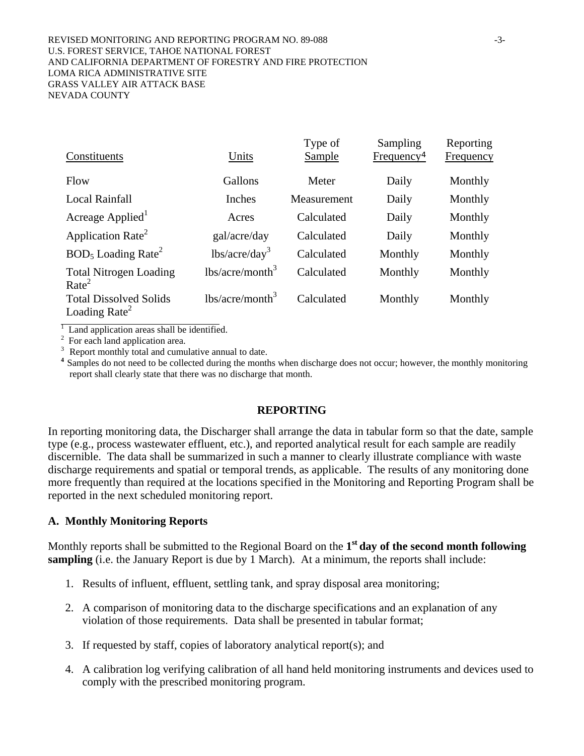#### REVISED MONITORING AND REPORTING PROGRAM NO. 89-088 43-U.S. FOREST SERVICE, TAHOE NATIONAL FOREST AND CALIFORNIA DEPARTMENT OF FORESTRY AND FIRE PROTECTION LOMA RICA ADMINISTRATIVE SITE GRASS VALLEY AIR ATTACK BASE NEVADA COUNTY

| Constituents                                               | Units              | Type of<br><b>Sample</b> | Sampling<br>Frequency <sup>4</sup> | Reporting<br><b>Frequency</b> |
|------------------------------------------------------------|--------------------|--------------------------|------------------------------------|-------------------------------|
| Flow                                                       | Gallons            | Meter                    | Daily                              | Monthly                       |
| <b>Local Rainfall</b>                                      | Inches             | Measurement              | Daily                              | Monthly                       |
| Acreage Applied                                            | Acres              | Calculated               | Daily                              | Monthly                       |
| Application Rate <sup>2</sup>                              | gal/acre/day       | Calculated               | Daily                              | Monthly                       |
| $BOD5$ Loading Rate <sup>2</sup>                           | $lbs/acre/day^3$   | Calculated               | Monthly                            | Monthly                       |
| <b>Total Nitrogen Loading</b><br>Rate <sup>2</sup>         | $lbs/acre/month^3$ | Calculated               | Monthly                            | Monthly                       |
| <b>Total Dissolved Solids</b><br>Loading Rate <sup>2</sup> | $lbs/acre/month^3$ | Calculated               | Monthly                            | Monthly                       |

<sup>1</sup> Land application areas shall be identified.<br><sup>2</sup> For each land application area.<br><sup>3</sup> Report monthly total and cumulative annual to date.

<sup>4</sup> Samples do not need to be collected during the months when discharge does not occur; however, the monthly monitoring report shall clearly state that there was no discharge that month.

# **REPORTING**

In reporting monitoring data, the Discharger shall arrange the data in tabular form so that the date, sample type (e.g., process wastewater effluent, etc.), and reported analytical result for each sample are readily discernible. The data shall be summarized in such a manner to clearly illustrate compliance with waste discharge requirements and spatial or temporal trends, as applicable. The results of any monitoring done more frequently than required at the locations specified in the Monitoring and Reporting Program shall be reported in the next scheduled monitoring report.

# **A. Monthly Monitoring Reports**

Monthly reports shall be submitted to the Regional Board on the **1st day of the second month following sampling** (i.e. the January Report is due by 1 March). At a minimum, the reports shall include:

- 1. Results of influent, effluent, settling tank, and spray disposal area monitoring;
- 2. A comparison of monitoring data to the discharge specifications and an explanation of any violation of those requirements. Data shall be presented in tabular format;
- 3. If requested by staff, copies of laboratory analytical report(s); and
- 4. A calibration log verifying calibration of all hand held monitoring instruments and devices used to comply with the prescribed monitoring program.